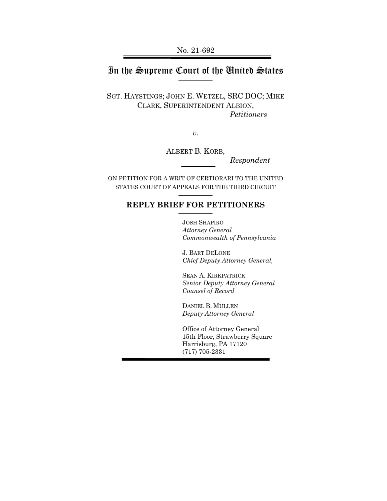# In the Supreme Court of the United States

SGT. HAYSTINGS; JOHN E. WETZEL, SRC DOC; MIKE CLARK, SUPERINTENDENT ALBION, *Petitioners*

*v.*

ALBERT B. KORB,

*Respondent*

ON PETITION FOR A WRIT OF CERTIORARI TO THE UNITED STATES COURT OF APPEALS FOR THE THIRD CIRCUIT

## **REPLY BRIEF FOR PETITIONERS**

JOSH SHAPIRO *Attorney General Commonwealth of Pennsylvania*

J. BART DELONE *Chief Deputy Attorney General,*

SEAN A. KIRKPATRICK *Senior Deputy Attorney General Counsel of Record*

DANIEL B. MULLEN *Deputy Attorney General*

Office of Attorney General 15th Floor, Strawberry Square Harrisburg, PA 17120 (717) 705-2331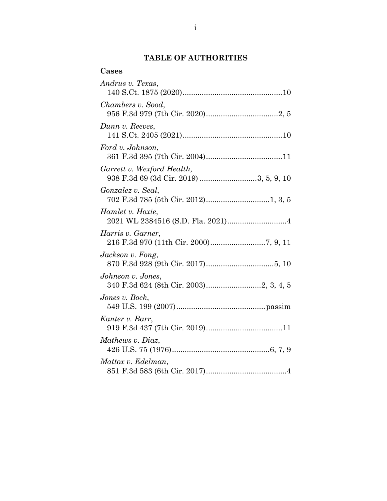## **TABLE OF AUTHORITIES**

| Cases                                                                |
|----------------------------------------------------------------------|
| Andrus v. Texas,                                                     |
| Chambers v. Sood,                                                    |
| Dunn v. Reeves,                                                      |
| Ford v. Johnson,                                                     |
| Garrett v. Wexford Health,<br>938 F.3d 69 (3d Cir. 2019) 3, 5, 9, 10 |
| Gonzalez v. Seal,                                                    |
| Hamlet v. Hoxie,                                                     |
| Harris v. Garner,                                                    |
| Jackson v. Fong,                                                     |
| Johnson v. Jones,                                                    |
| Jones v. Bock,                                                       |
| Kanter v. Barr,                                                      |
| Mathews v. Diaz,                                                     |
| Mattox v. Edelman,                                                   |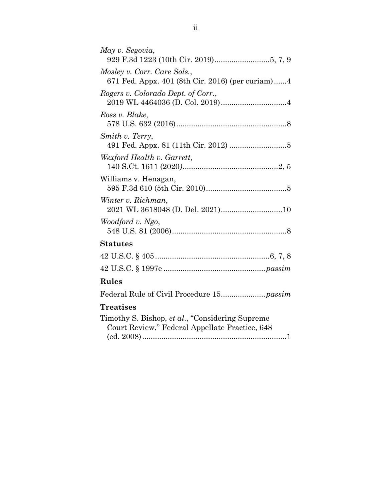| May v. Segovia,                                                                                    |
|----------------------------------------------------------------------------------------------------|
| Mosley v. Corr. Care Sols.,                                                                        |
| 671 Fed. Appx. 401 (8th Cir. 2016) (per curiam)4                                                   |
| Rogers v. Colorado Dept. of Corr.,                                                                 |
| Ross v. Blake.                                                                                     |
| Smith v. Terry,                                                                                    |
| Wexford Health v. Garrett,                                                                         |
| Williams v. Henagan,                                                                               |
| Winter v. Richman,<br>2021 WL 3618048 (D. Del. 2021)10                                             |
| Woodford v. Ngo,                                                                                   |
| <b>Statutes</b>                                                                                    |
|                                                                                                    |
|                                                                                                    |
| Rules                                                                                              |
|                                                                                                    |
| <b>Treatises</b>                                                                                   |
| Timothy S. Bishop, et al., "Considering Supreme"<br>Court Review," Federal Appellate Practice, 648 |

(ed. 2008)....................................................................1

ii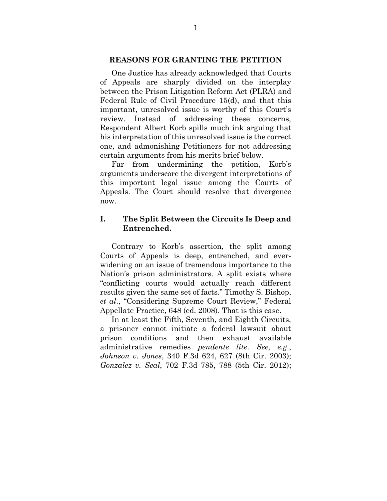#### **REASONS FOR GRANTING THE PETITION**

One Justice has already acknowledged that Courts of Appeals are sharply divided on the interplay between the Prison Litigation Reform Act (PLRA) and Federal Rule of Civil Procedure 15(d), and that this important, unresolved issue is worthy of this Court's review. Instead of addressing these concerns, Respondent Albert Korb spills much ink arguing that his interpretation of this unresolved issue is the correct one, and admonishing Petitioners for not addressing certain arguments from his merits brief below.

Far from undermining the petition, Korb's arguments underscore the divergent interpretations of this important legal issue among the Courts of Appeals. The Court should resolve that divergence now.

#### **I. The Split Between the Circuits Is Deep and Entrenched.**

Contrary to Korb's assertion, the split among Courts of Appeals is deep, entrenched, and everwidening on an issue of tremendous importance to the Nation's prison administrators. A split exists where "conflicting courts would actually reach different results given the same set of facts." Timothy S. Bishop, *et al*., "Considering Supreme Court Review," Federal Appellate Practice, 648 (ed. 2008). That is this case.

In at least the Fifth, Seventh, and Eighth Circuits, a prisoner cannot initiate a federal lawsuit about prison conditions and then exhaust available administrative remedies *pendente lite*. *See*, *e.g*., *Johnson v. Jones*, 340 F.3d 624, 627 (8th Cir. 2003); *Gonzalez v. Seal*, 702 F.3d 785, 788 (5th Cir. 2012);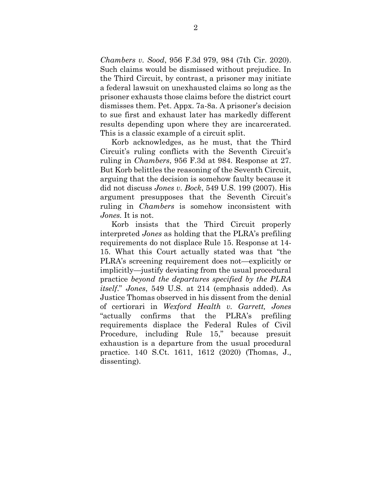*Chambers v. Sood*, 956 F.3d 979, 984 (7th Cir. 2020). Such claims would be dismissed without prejudice. In the Third Circuit, by contrast, a prisoner may initiate a federal lawsuit on unexhausted claims so long as the prisoner exhausts those claims before the district court dismisses them. Pet. Appx. 7a-8a. A prisoner's decision to sue first and exhaust later has markedly different results depending upon where they are incarcerated. This is a classic example of a circuit split.

Korb acknowledges, as he must, that the Third Circuit's ruling conflicts with the Seventh Circuit's ruling in *Chambers*, 956 F.3d at 984. Response at 27. But Korb belittles the reasoning of the Seventh Circuit, arguing that the decision is somehow faulty because it did not discuss *Jones v. Bock*, 549 U.S. 199 (2007). His argument presupposes that the Seventh Circuit's ruling in *Chambers* is somehow inconsistent with *Jones.* It is not.

Korb insists that the Third Circuit properly interpreted *Jones* as holding that the PLRA's prefiling requirements do not displace Rule 15. Response at 14- 15. What this Court actually stated was that "the PLRA's screening requirement does not—explicitly or implicitly—justify deviating from the usual procedural practice *beyond the departures specified by the PLRA itself*." *Jones*, 549 U.S. at 214 (emphasis added). As Justice Thomas observed in his dissent from the denial of certiorari in *Wexford Health v. Garrett, Jones* "actually confirms that the PLRA's prefiling requirements displace the Federal Rules of Civil Procedure, including Rule 15," because presuit exhaustion is a departure from the usual procedural practice. 140 S.Ct. 1611, 1612 (2020) (Thomas, J., dissenting).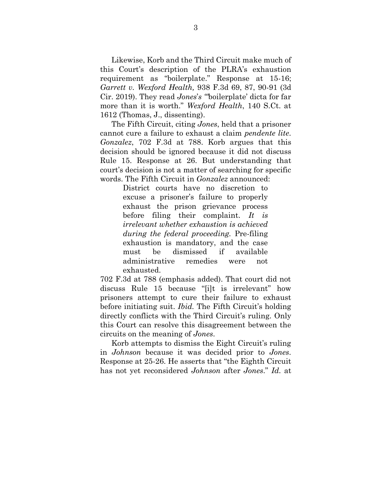Likewise, Korb and the Third Circuit make much of this Court's description of the PLRA's exhaustion requirement as "boilerplate." Response at 15-16; *Garrett v. Wexford Health,* 938 F.3d 69, 87, 90-91 (3d Cir. 2019). They read *Jones*'*s "'*boilerplate' dicta for far more than it is worth." *Wexford Health*, 140 S.Ct. at 1612 (Thomas, J., dissenting).

The Fifth Circuit, citing *Jones*, held that a prisoner cannot cure a failure to exhaust a claim *pendente lite*. *Gonzalez*, 702 F.3d at 788. Korb argues that this decision should be ignored because it did not discuss Rule 15. Response at 26. But understanding that court's decision is not a matter of searching for specific words. The Fifth Circuit in *Gonzalez* announced:

> District courts have no discretion to excuse a prisoner's failure to properly exhaust the prison grievance process before filing their complaint. *It is irrelevant whether exhaustion is achieved during the federal proceeding.* Pre-filing exhaustion is mandatory, and the case must be dismissed if available administrative remedies were not exhausted.

702 F.3d at 788 (emphasis added). That court did not discuss Rule 15 because "[i]t is irrelevant" how prisoners attempt to cure their failure to exhaust before initiating suit. *Ibid.* The Fifth Circuit's holding directly conflicts with the Third Circuit's ruling*.* Only this Court can resolve this disagreement between the circuits on the meaning of *Jones*.

Korb attempts to dismiss the Eight Circuit's ruling in *Johnson* because it was decided prior to *Jones*. Response at 25-26. He asserts that "the Eighth Circuit has not yet reconsidered *Johnson* after *Jones*." *Id.* at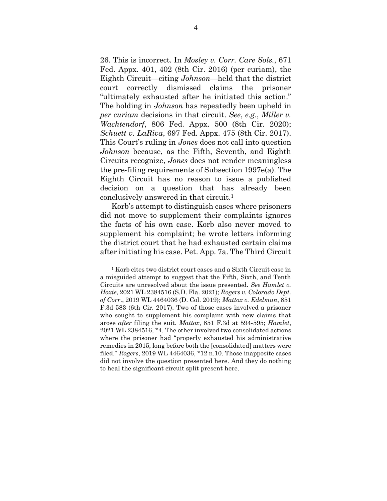26. This is incorrect. In *Mosley v. Corr. Care Sols.*, 671 Fed. Appx. 401, 402 (8th Cir. 2016) (per curiam), the Eighth Circuit—citing *Johnson*—held that the district court correctly dismissed claims the prisoner "ultimately exhausted after he initiated this action." The holding in *Johnson* has repeatedly been upheld in *per curiam* decisions in that circuit. *See*, *e.g*., *Miller v. Wachtendorf*, 806 Fed. Appx. 500 (8th Cir. 2020); *Schuett v. LaRiva*, 697 Fed. Appx. 475 (8th Cir. 2017). This Court's ruling in *Jones* does not call into question *Johnson* because, as the Fifth, Seventh, and Eighth Circuits recognize, *Jones* does not render meaningless the pre-filing requirements of Subsection 1997e(a). The Eighth Circuit has no reason to issue a published decision on a question that has already been conclusively answered in that circuit.<sup>1</sup>

Korb's attempt to distinguish cases where prisoners did not move to supplement their complaints ignores the facts of his own case. Korb also never moved to supplement his complaint; he wrote letters informing the district court that he had exhausted certain claims after initiating his case. Pet. App. 7a. The Third Circuit

<sup>1</sup> Korb cites two district court cases and a Sixth Circuit case in a misguided attempt to suggest that the Fifth, Sixth, and Tenth Circuits are unresolved about the issue presented. *See Hamlet v. Hoxie*, 2021 WL 2384516 (S.D. Fla. 2021); *Rogers v. Colorado Dept. of Corr*., 2019 WL 4464036 (D. Col. 2019); *Mattox v. Edelman*, 851 F.3d 583 (6th Cir. 2017). Two of those cases involved a prisoner who sought to supplement his complaint with new claims that arose *after* filing the suit. *Mattox*, 851 F.3d at 594-595; *Hamlet*, 2021 WL 2384516, \*4. The other involved two consolidated actions where the prisoner had "properly exhausted his administrative remedies in 2015, long before both the [consolidated] matters were filed." *Rogers*, 2019 WL 4464036, \*12 n.10. Those inapposite cases did not involve the question presented here. And they do nothing to heal the significant circuit split present here.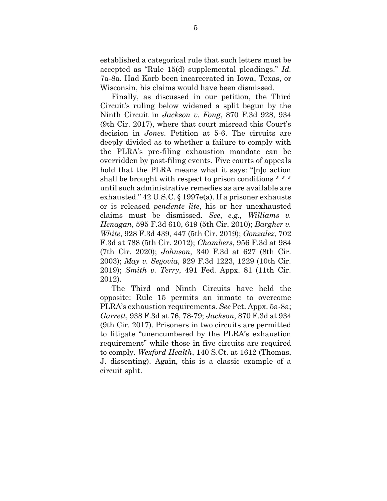established a categorical rule that such letters must be accepted as "Rule 15(d) supplemental pleadings." *Id.*  7a-8a. Had Korb been incarcerated in Iowa, Texas, or Wisconsin, his claims would have been dismissed.

Finally, as discussed in our petition, the Third Circuit's ruling below widened a split begun by the Ninth Circuit in *Jackson v. Fong*, 870 F.3d 928, 934 (9th Cir. 2017), where that court misread this Court's decision in *Jones*. Petition at 5-6. The circuits are deeply divided as to whether a failure to comply with the PLRA's pre-filing exhaustion mandate can be overridden by post-filing events. Five courts of appeals hold that the PLRA means what it says: "[n]o action shall be brought with respect to prison conditions \* \* \* until such administrative remedies as are available are exhausted." 42 U.S.C. § 1997e(a). If a prisoner exhausts or is released *pendente lite*, his or her unexhausted claims must be dismissed. *See*, *e.g., Williams v. Henagan*, 595 F.3d 610, 619 (5th Cir. 2010); *Bargher v. White*, 928 F.3d 439, 447 (5th Cir. 2019); *Gonzalez*, 702 F.3d at 788 (5th Cir. 2012); *Chambers*, 956 F.3d at 984 (7th Cir. 2020); *Johnson*, 340 F.3d at 627 (8th Cir. 2003); *May v. Segovia*, 929 F.3d 1223, 1229 (10th Cir. 2019); *Smith v. Terry*, 491 Fed. Appx. 81 (11th Cir. 2012).

The Third and Ninth Circuits have held the opposite: Rule 15 permits an inmate to overcome PLRA's exhaustion requirements. *See* Pet. Appx. 5a-8a; *Garrett*, 938 F.3d at 76, 78-79; *Jackson*, 870 F.3d at 934 (9th Cir. 2017). Prisoners in two circuits are permitted to litigate "unencumbered by the PLRA's exhaustion requirement" while those in five circuits are required to comply. *Wexford Health*, 140 S.Ct. at 1612 (Thomas, J. dissenting). Again, this is a classic example of a circuit split.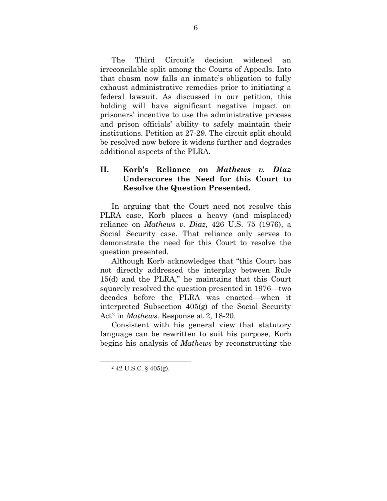The Third Circuit's decision widened an irreconcilable split among the Courts of Appeals. Into that chasm now falls an inmate's obligation to fully exhaust administrative remedies prior to initiating a federal lawsuit. As discussed in our petition, this holding will have significant negative impact on prisoners' incentive to use the administrative process and prison officials' ability to safely maintain their institutions. Petition at 27-29. The circuit split should be resolved now before it widens further and degrades additional aspects of the PLRA.

### **II. Korb's Reliance on** *Mathews v. Diaz* **Underscores the Need for this Court to Resolve the Question Presented.**

In arguing that the Court need not resolve this PLRA case, Korb places a heavy (and misplaced) reliance on *Mathews v. Diaz*, 426 U.S. 75 (1976), a Social Security case. That reliance only serves to demonstrate the need for this Court to resolve the question presented.

Although Korb acknowledges that "this Court has not directly addressed the interplay between Rule 15(d) and the PLRA," he maintains that this Court squarely resolved the question presented in 1976—two decades before the PLRA was enacted—when it interpreted Subsection 405(g) of the Social Security Act<sup>2</sup> in *Mathews*. Response at 2, 18-20.

Consistent with his general view that statutory language can be rewritten to suit his purpose, Korb begins his analysis of *Mathews* by reconstructing the

<sup>2</sup> 42 U.S.C. § 405(g).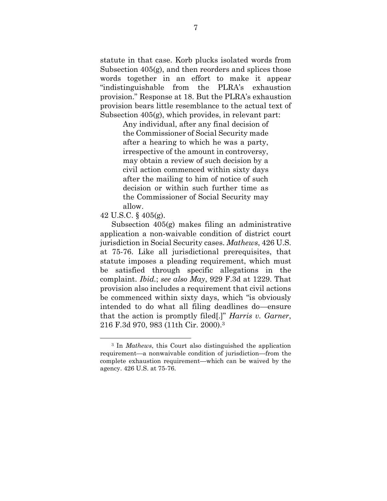statute in that case. Korb plucks isolated words from Subsection 405(g), and then reorders and splices those words together in an effort to make it appear "indistinguishable from the PLRA's exhaustion provision." Response at 18. But the PLRA's exhaustion provision bears little resemblance to the actual text of Subsection 405(g), which provides, in relevant part:

> Any individual, after any final decision of the Commissioner of Social Security made after a hearing to which he was a party, irrespective of the amount in controversy, may obtain a review of such decision by a civil action commenced within sixty days after the mailing to him of notice of such decision or within such further time as the Commissioner of Social Security may allow.

#### 42 U.S.C. § 405(g).

Subsection 405(g) makes filing an administrative application a non-waivable condition of district court jurisdiction in Social Security cases. *Mathews*, 426 U.S. at 75-76. Like all jurisdictional prerequisites, that statute imposes a pleading requirement, which must be satisfied through specific allegations in the complaint. *Ibid.*; *see also May*, 929 F.3d at 1229. That provision also includes a requirement that civil actions be commenced within sixty days, which "is obviously intended to do what all filing deadlines do—ensure that the action is promptly filed[.]" *Harris v. Garner*, 216 F.3d 970, 983 (11th Cir. 2000). 3

<sup>3</sup> In *Mathews*, this Court also distinguished the application requirement—a nonwaivable condition of jurisdiction—from the complete exhaustion requirement—which can be waived by the agency. 426 U.S. at 75-76.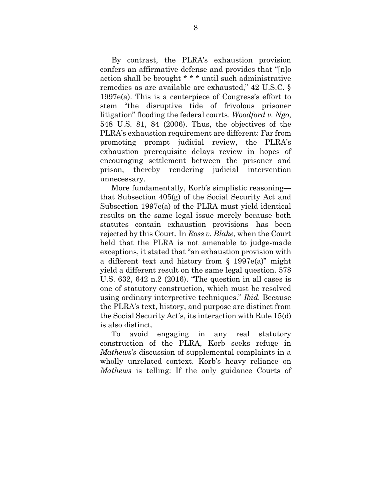By contrast, the PLRA's exhaustion provision confers an affirmative defense and provides that "[n]o action shall be brought \* \* \* until such administrative remedies as are available are exhausted," 42 U.S.C. § 1997e(a). This is a centerpiece of Congress's effort to stem "the disruptive tide of frivolous prisoner litigation" flooding the federal courts. *Woodford v. Ngo*, 548 U.S. 81, 84 (2006). Thus, the objectives of the PLRA's exhaustion requirement are different: Far from promoting prompt judicial review, the PLRA's exhaustion prerequisite delays review in hopes of encouraging settlement between the prisoner and prison, thereby rendering judicial intervention unnecessary.

More fundamentally, Korb's simplistic reasoning that Subsection 405(g) of the Social Security Act and Subsection 1997e(a) of the PLRA must yield identical results on the same legal issue merely because both statutes contain exhaustion provisions—has been rejected by this Court. In *Ross v. Blake*, when the Court held that the PLRA is not amenable to judge-made exceptions, it stated that "an exhaustion provision with a different text and history from § 1997e(a)" might yield a different result on the same legal question. 578 U.S. 632, 642 n.2 (2016). "The question in all cases is one of statutory construction, which must be resolved using ordinary interpretive techniques." *Ibid.* Because the PLRA's text, history, and purpose are distinct from the Social Security Act's, its interaction with Rule 15(d) is also distinct.

To avoid engaging in any real statutory construction of the PLRA, Korb seeks refuge in *Mathews*'*s* discussion of supplemental complaints in a wholly unrelated context. Korb's heavy reliance on *Mathews* is telling: If the only guidance Courts of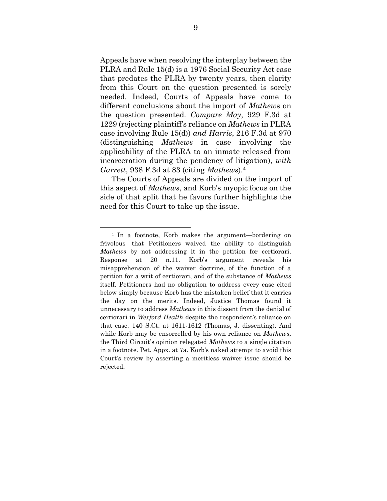Appeals have when resolving the interplay between the PLRA and Rule 15(d) is a 1976 Social Security Act case that predates the PLRA by twenty years, then clarity from this Court on the question presented is sorely needed. Indeed, Courts of Appeals have come to different conclusions about the import of *Mathew*s on the question presented. *Compare May*, 929 F.3d at 1229 (rejecting plaintiff's reliance on *Mathews* in PLRA case involving Rule 15(d)) *and Harris*, 216 F.3d at 970 (distinguishing *Mathews* in case involving the applicability of the PLRA to an inmate released from incarceration during the pendency of litigation), *with Garrett*, 938 F.3d at 83 (citing *Mathews*).<sup>4</sup>

The Courts of Appeals are divided on the import of this aspect of *Mathews*, and Korb's myopic focus on the side of that split that he favors further highlights the need for this Court to take up the issue.

<sup>4</sup> In a footnote, Korb makes the argument—bordering on frivolous—that Petitioners waived the ability to distinguish *Mathews* by not addressing it in the petition for certiorari. Response at 20 n.11. Korb's argument reveals his misapprehension of the waiver doctrine, of the function of a petition for a writ of certiorari, and of the substance of *Mathews* itself. Petitioners had no obligation to address every case cited below simply because Korb has the mistaken belief that it carries the day on the merits. Indeed, Justice Thomas found it unnecessary to address *Mathews* in this dissent from the denial of certiorari in *Wexford Health* despite the respondent's reliance on that case*.* 140 S.Ct. at 1611-1612 (Thomas, J. dissenting). And while Korb may be ensorcelled by his own reliance on *Mathews*, the Third Circuit's opinion relegated *Mathews* to a single citation in a footnote. Pet. Appx. at 7a. Korb's naked attempt to avoid this Court's review by asserting a meritless waiver issue should be rejected.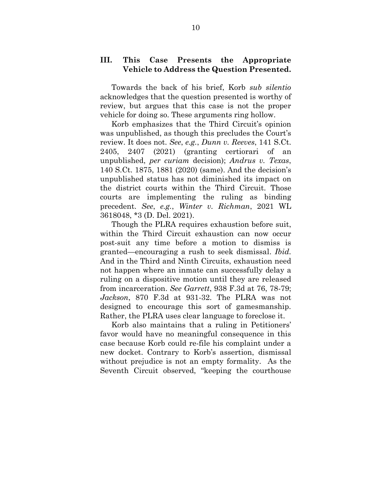### **III. This Case Presents the Appropriate Vehicle to Address the Question Presented.**

Towards the back of his brief, Korb *sub silentio*  acknowledges that the question presented is worthy of review, but argues that this case is not the proper vehicle for doing so. These arguments ring hollow.

Korb emphasizes that the Third Circuit's opinion was unpublished, as though this precludes the Court's review. It does not. *See*, *e.g.*, *Dunn v. Reeves*, 141 S.Ct. 2405, 2407 (2021) (granting certiorari of an unpublished, *per curiam* decision); *Andrus v. Texas*, 140 S.Ct. 1875, 1881 (2020) (same). And the decision's unpublished status has not diminished its impact on the district courts within the Third Circuit. Those courts are implementing the ruling as binding precedent. *See*, *e.g.*, *Winter v. Richman*, 2021 WL 3618048, \*3 (D. Del. 2021).

Though the PLRA requires exhaustion before suit, within the Third Circuit exhaustion can now occur post-suit any time before a motion to dismiss is granted—encouraging a rush to seek dismissal. *Ibid.* And in the Third and Ninth Circuits, exhaustion need not happen where an inmate can successfully delay a ruling on a dispositive motion until they are released from incarceration. *See Garrett*, 938 F.3d at 76, 78-79; *Jackson*, 870 F.3d at 931-32. The PLRA was not designed to encourage this sort of gamesmanship. Rather, the PLRA uses clear language to foreclose it.

Korb also maintains that a ruling in Petitioners' favor would have no meaningful consequence in this case because Korb could re-file his complaint under a new docket. Contrary to Korb's assertion, dismissal without prejudice is not an empty formality. As the Seventh Circuit observed, "keeping the courthouse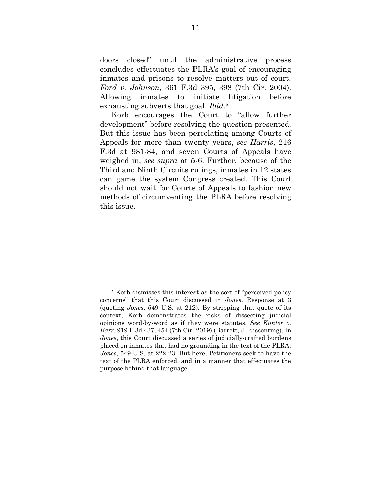doors closed" until the administrative process concludes effectuates the PLRA's goal of encouraging inmates and prisons to resolve matters out of court. *Ford v. Johnson*, 361 F.3d 395, 398 (7th Cir. 2004). Allowing inmates to initiate litigation before exhausting subverts that goal. *Ibid.*<sup>5</sup>

Korb encourages the Court to "allow further development" before resolving the question presented. But this issue has been percolating among Courts of Appeals for more than twenty years, *see Harris*, 216 F.3d at 981-84, and seven Courts of Appeals have weighed in, *see supra* at 5-6. Further, because of the Third and Ninth Circuits rulings, inmates in 12 states can game the system Congress created. This Court should not wait for Courts of Appeals to fashion new methods of circumventing the PLRA before resolving this issue.

<sup>5</sup> Korb dismisses this interest as the sort of "perceived policy concerns" that this Court discussed in *Jones*. Response at 3 (quoting *Jones*, 549 U.S. at 212). By stripping that quote of its context, Korb demonstrates the risks of dissecting judicial opinions word-by-word as if they were statutes. *See Kanter v. Barr*, 919 F.3d 437, 454 (7th Cir. 2019) (Barrett, J., dissenting). In *Jones*, this Court discussed a series of judicially-crafted burdens placed on inmates that had no grounding in the text of the PLRA. *Jones*, 549 U.S. at 222-23. But here, Petitioners seek to have the text of the PLRA enforced, and in a manner that effectuates the purpose behind that language.